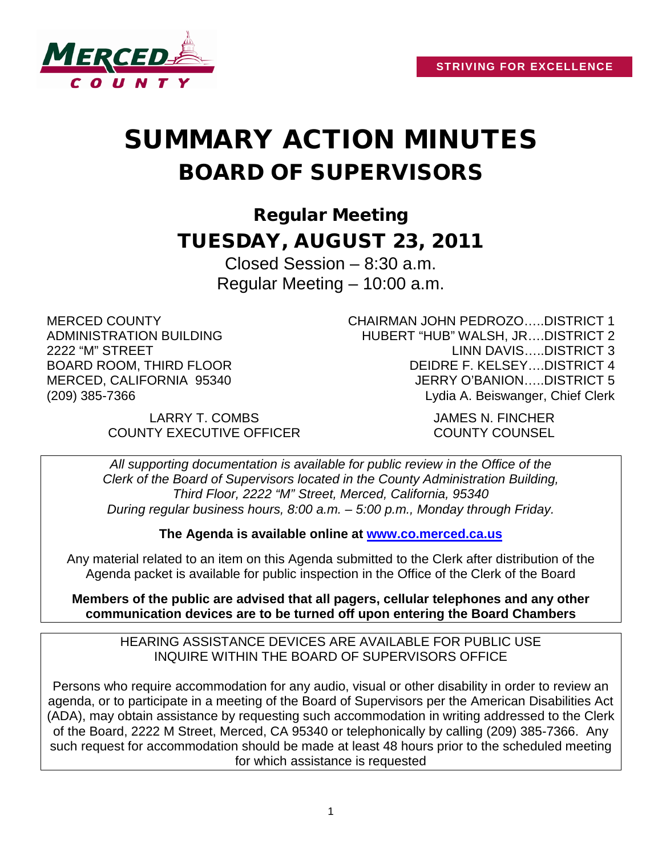

# SUMMARY ACTION MINUTES BOARD OF SUPERVISORS

Regular Meeting TUESDAY, AUGUST 23, 2011

> Closed Session – 8:30 a.m. Regular Meeting – 10:00 a.m.

MERCED COUNTY ADMINISTRATION BUILDING 2222 "M" STREET BOARD ROOM, THIRD FLOOR MERCED, CALIFORNIA 95340 (209) 385-7366

CHAIRMAN JOHN PEDROZO…..DISTRICT 1 HUBERT "HUB" WALSH, JR….DISTRICT 2 LINN DAVIS…..DISTRICT 3 DEIDRE F. KELSEY….DISTRICT 4 JERRY O'BANION…..DISTRICT 5 Lydia A. Beiswanger, Chief Clerk

LARRY T. COMBS JAMES N. FINCHER COUNTY EXECUTIVE OFFICER COUNTY COUNSEL

*All supporting documentation is available for public review in the Office of the Clerk of the Board of Supervisors located in the County Administration Building, Third Floor, 2222 "M" Street, Merced, California, 95340 During regular business hours, 8:00 a.m. – 5:00 p.m., Monday through Friday.*

**The Agenda is available online at [www.co.merced.ca.us](http://www.co.merced.ca.us/)**

Any material related to an item on this Agenda submitted to the Clerk after distribution of the Agenda packet is available for public inspection in the Office of the Clerk of the Board

**Members of the public are advised that all pagers, cellular telephones and any other communication devices are to be turned off upon entering the Board Chambers**

HEARING ASSISTANCE DEVICES ARE AVAILABLE FOR PUBLIC USE INQUIRE WITHIN THE BOARD OF SUPERVISORS OFFICE

Persons who require accommodation for any audio, visual or other disability in order to review an agenda, or to participate in a meeting of the Board of Supervisors per the American Disabilities Act (ADA), may obtain assistance by requesting such accommodation in writing addressed to the Clerk of the Board, 2222 M Street, Merced, CA 95340 or telephonically by calling (209) 385-7366. Any such request for accommodation should be made at least 48 hours prior to the scheduled meeting for which assistance is requested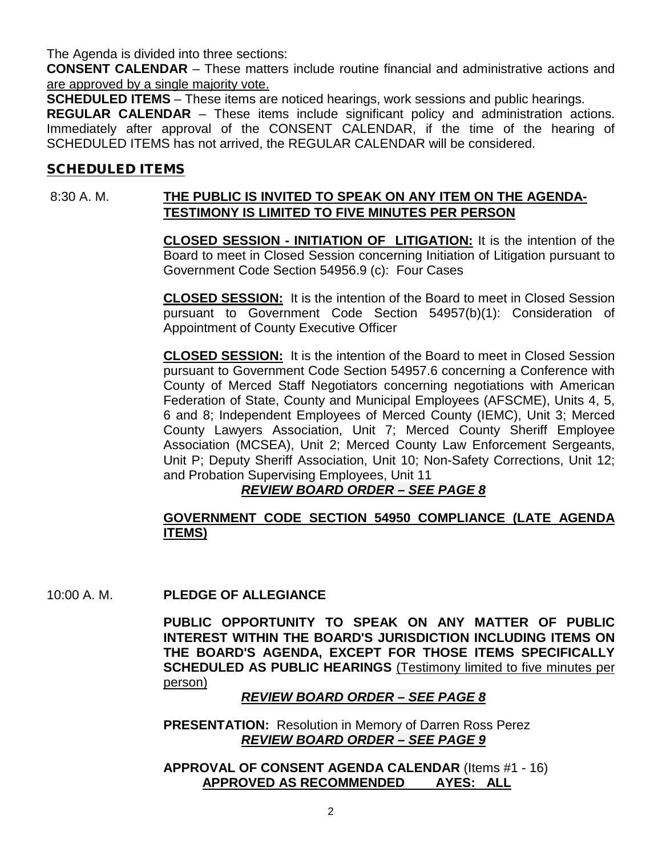The Agenda is divided into three sections:

**CONSENT CALENDAR** – These matters include routine financial and administrative actions and are approved by a single majority vote.

**SCHEDULED ITEMS** – These items are noticed hearings, work sessions and public hearings.

**REGULAR CALENDAR** – These items include significant policy and administration actions. Immediately after approval of the CONSENT CALENDAR, if the time of the hearing of SCHEDULED ITEMS has not arrived, the REGULAR CALENDAR will be considered.

#### SCHEDULED ITEMS

# 8:30 A. M. **THE PUBLIC IS INVITED TO SPEAK ON ANY ITEM ON THE AGENDA-TESTIMONY IS LIMITED TO FIVE MINUTES PER PERSON**

**CLOSED SESSION - INITIATION OF LITIGATION:** It is the intention of the Board to meet in Closed Session concerning Initiation of Litigation pursuant to Government Code Section 54956.9 (c): Four Cases

**CLOSED SESSION:** It is the intention of the Board to meet in Closed Session pursuant to Government Code Section 54957(b)(1): Consideration of Appointment of County Executive Officer

**CLOSED SESSION:** It is the intention of the Board to meet in Closed Session pursuant to Government Code Section 54957.6 concerning a Conference with County of Merced Staff Negotiators concerning negotiations with American Federation of State, County and Municipal Employees (AFSCME), Units 4, 5, 6 and 8; Independent Employees of Merced County (IEMC), Unit 3; Merced County Lawyers Association, Unit 7; Merced County Sheriff Employee Association (MCSEA), Unit 2; Merced County Law Enforcement Sergeants, Unit P; Deputy Sheriff Association, Unit 10; Non-Safety Corrections, Unit 12; and Probation Supervising Employees, Unit 11

# *REVIEW BOARD ORDER – SEE PAGE 8*

# **GOVERNMENT CODE SECTION 54950 COMPLIANCE (LATE AGENDA ITEMS)**

10:00 A. M. **PLEDGE OF ALLEGIANCE**

**PUBLIC OPPORTUNITY TO SPEAK ON ANY MATTER OF PUBLIC INTEREST WITHIN THE BOARD'S JURISDICTION INCLUDING ITEMS ON THE BOARD'S AGENDA, EXCEPT FOR THOSE ITEMS SPECIFICALLY SCHEDULED AS PUBLIC HEARINGS** (Testimony limited to five minutes per person)

#### *REVIEW BOARD ORDER – SEE PAGE 8*

**PRESENTATION:** Resolution in Memory of Darren Ross Perez *REVIEW BOARD ORDER – SEE PAGE 9*

**APPROVAL OF CONSENT AGENDA CALENDAR** (Items #1 - 16) **APPROVED AS RECOMMENDED AYES: ALL**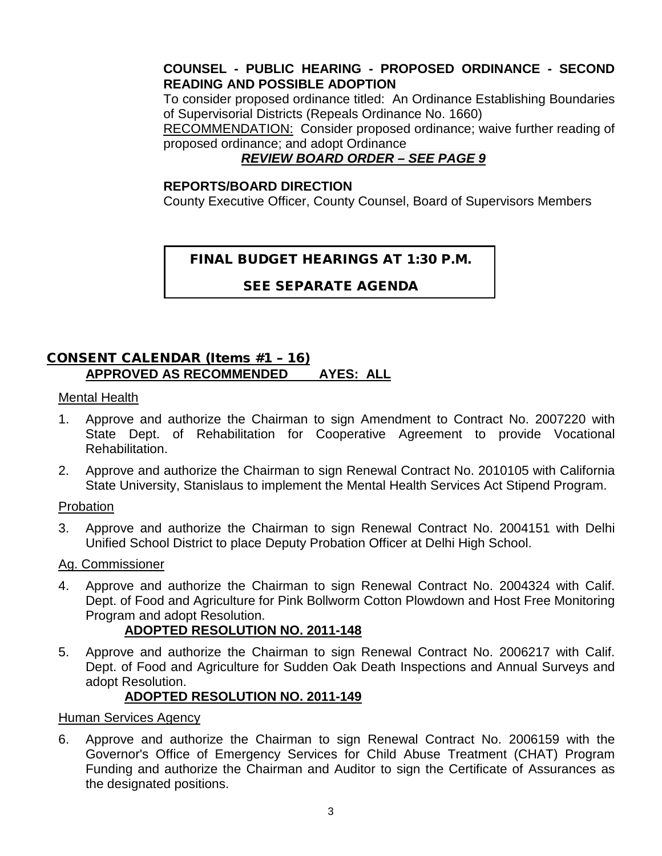# **COUNSEL - PUBLIC HEARING - PROPOSED ORDINANCE - SECOND READING AND POSSIBLE ADOPTION**

To consider proposed ordinance titled: An Ordinance Establishing Boundaries of Supervisorial Districts (Repeals Ordinance No. 1660)

RECOMMENDATION: Consider proposed ordinance; waive further reading of proposed ordinance; and adopt Ordinance

# *REVIEW BOARD ORDER – SEE PAGE 9*

#### **REPORTS/BOARD DIRECTION**

County Executive Officer, County Counsel, Board of Supervisors Members

# FINAL BUDGET HEARINGS AT 1:30 P.M.

SEE SEPARATE AGENDA

# CONSENT CALENDAR (Items #1 – 16) **APPROVED AS RECOMMENDED AYES: ALL**

#### Mental Health

- 1. Approve and authorize the Chairman to sign Amendment to Contract No. 2007220 with State Dept. of Rehabilitation for Cooperative Agreement to provide Vocational Rehabilitation.
- 2. Approve and authorize the Chairman to sign Renewal Contract No. 2010105 with California State University, Stanislaus to implement the Mental Health Services Act Stipend Program.

#### Probation

3. Approve and authorize the Chairman to sign Renewal Contract No. 2004151 with Delhi Unified School District to place Deputy Probation Officer at Delhi High School.

#### Ag. Commissioner

4. Approve and authorize the Chairman to sign Renewal Contract No. 2004324 with Calif. Dept. of Food and Agriculture for Pink Bollworm Cotton Plowdown and Host Free Monitoring Program and adopt Resolution.

# **ADOPTED RESOLUTION NO. 2011-148**

5. Approve and authorize the Chairman to sign Renewal Contract No. 2006217 with Calif. Dept. of Food and Agriculture for Sudden Oak Death Inspections and Annual Surveys and adopt Resolution.

# **ADOPTED RESOLUTION NO. 2011-149**

#### Human Services Agency

6. Approve and authorize the Chairman to sign Renewal Contract No. 2006159 with the Governor's Office of Emergency Services for Child Abuse Treatment (CHAT) Program Funding and authorize the Chairman and Auditor to sign the Certificate of Assurances as the designated positions.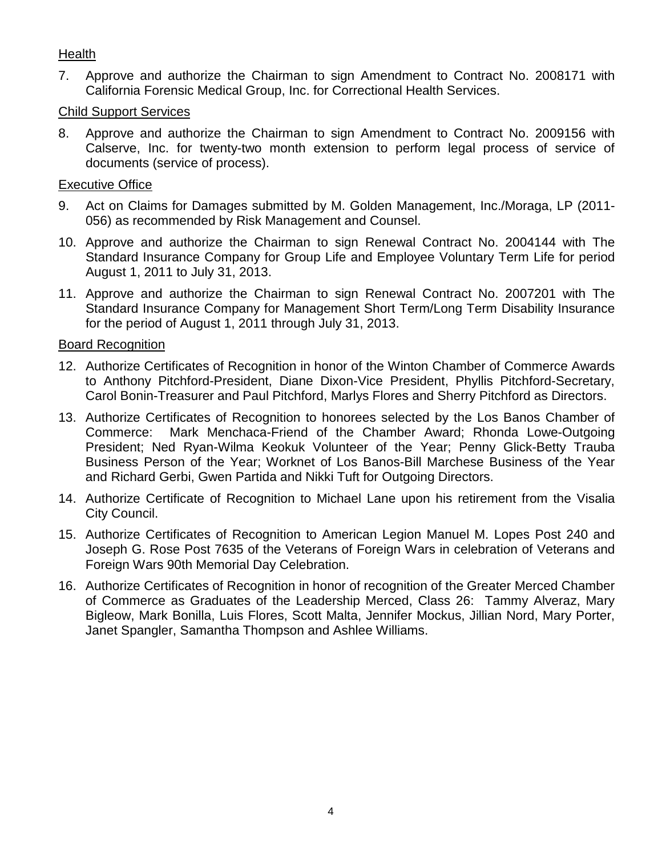# **Health**

7. Approve and authorize the Chairman to sign Amendment to Contract No. 2008171 with California Forensic Medical Group, Inc. for Correctional Health Services.

# Child Support Services

8. Approve and authorize the Chairman to sign Amendment to Contract No. 2009156 with Calserve, Inc. for twenty-two month extension to perform legal process of service of documents (service of process).

# Executive Office

- 9. Act on Claims for Damages submitted by M. Golden Management, Inc./Moraga, LP (2011- 056) as recommended by Risk Management and Counsel.
- 10. Approve and authorize the Chairman to sign Renewal Contract No. 2004144 with The Standard Insurance Company for Group Life and Employee Voluntary Term Life for period August 1, 2011 to July 31, 2013.
- 11. Approve and authorize the Chairman to sign Renewal Contract No. 2007201 with The Standard Insurance Company for Management Short Term/Long Term Disability Insurance for the period of August 1, 2011 through July 31, 2013.

# Board Recognition

- 12. Authorize Certificates of Recognition in honor of the Winton Chamber of Commerce Awards to Anthony Pitchford-President, Diane Dixon-Vice President, Phyllis Pitchford-Secretary, Carol Bonin-Treasurer and Paul Pitchford, Marlys Flores and Sherry Pitchford as Directors.
- 13. Authorize Certificates of Recognition to honorees selected by the Los Banos Chamber of Commerce: Mark Menchaca-Friend of the Chamber Award; Rhonda Lowe-Outgoing President; Ned Ryan-Wilma Keokuk Volunteer of the Year; Penny Glick-Betty Trauba Business Person of the Year; Worknet of Los Banos-Bill Marchese Business of the Year and Richard Gerbi, Gwen Partida and Nikki Tuft for Outgoing Directors.
- 14. Authorize Certificate of Recognition to Michael Lane upon his retirement from the Visalia City Council.
- 15. Authorize Certificates of Recognition to American Legion Manuel M. Lopes Post 240 and Joseph G. Rose Post 7635 of the Veterans of Foreign Wars in celebration of Veterans and Foreign Wars 90th Memorial Day Celebration.
- 16. Authorize Certificates of Recognition in honor of recognition of the Greater Merced Chamber of Commerce as Graduates of the Leadership Merced, Class 26: Tammy Alveraz, Mary Bigleow, Mark Bonilla, Luis Flores, Scott Malta, Jennifer Mockus, Jillian Nord, Mary Porter, Janet Spangler, Samantha Thompson and Ashlee Williams.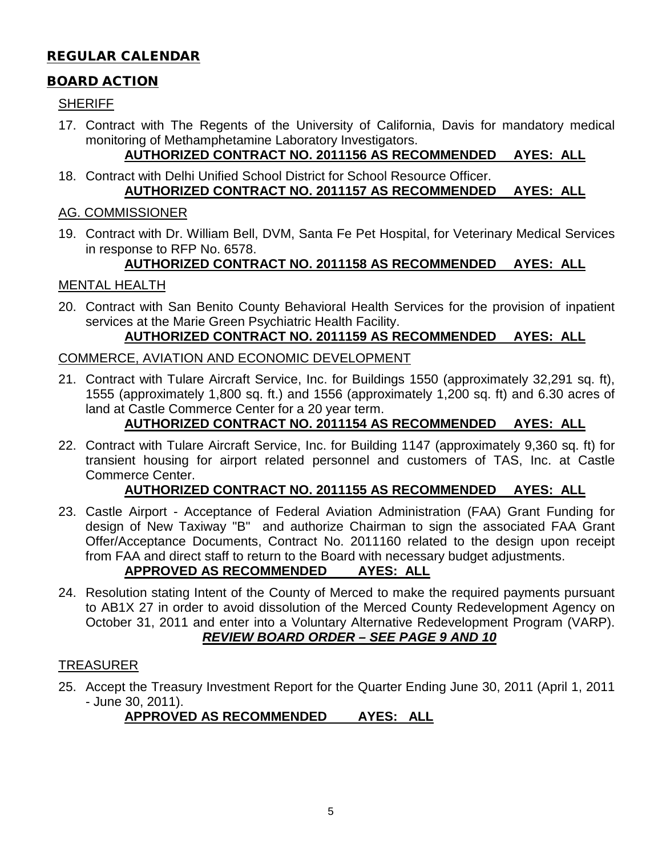# REGULAR CALENDAR

# BOARD ACTION

#### **SHERIFF**

17. Contract with The Regents of the University of California, Davis for mandatory medical monitoring of Methamphetamine Laboratory Investigators.

# **AUTHORIZED CONTRACT NO. 2011156 AS RECOMMENDED AYES: ALL**

18. Contract with Delhi Unified School District for School Resource Officer. **AUTHORIZED CONTRACT NO. 2011157 AS RECOMMENDED AYES: ALL**

#### AG. COMMISSIONER

19. Contract with Dr. William Bell, DVM, Santa Fe Pet Hospital, for Veterinary Medical Services in response to RFP No. 6578.

# **AUTHORIZED CONTRACT NO. 2011158 AS RECOMMENDED AYES: ALL**

### MENTAL HEALTH

20. Contract with San Benito County Behavioral Health Services for the provision of inpatient services at the Marie Green Psychiatric Health Facility.

### **AUTHORIZED CONTRACT NO. 2011159 AS RECOMMENDED AYES: ALL**

#### COMMERCE, AVIATION AND ECONOMIC DEVELOPMENT

21. Contract with Tulare Aircraft Service, Inc. for Buildings 1550 (approximately 32,291 sq. ft), 1555 (approximately 1,800 sq. ft.) and 1556 (approximately 1,200 sq. ft) and 6.30 acres of land at Castle Commerce Center for a 20 year term.

# **AUTHORIZED CONTRACT NO. 2011154 AS RECOMMENDED AYES: ALL**

22. Contract with Tulare Aircraft Service, Inc. for Building 1147 (approximately 9,360 sq. ft) for transient housing for airport related personnel and customers of TAS, Inc. at Castle Commerce Center.

#### **AUTHORIZED CONTRACT NO. 2011155 AS RECOMMENDED AYES: ALL**

- 23. Castle Airport Acceptance of Federal Aviation Administration (FAA) Grant Funding for design of New Taxiway "B" and authorize Chairman to sign the associated FAA Grant Offer/Acceptance Documents, Contract No. 2011160 related to the design upon receipt from FAA and direct staff to return to the Board with necessary budget adjustments. **APPROVED AS RECOMMENDED AYES: ALL**
- 24. Resolution stating Intent of the County of Merced to make the required payments pursuant to AB1X 27 in order to avoid dissolution of the Merced County Redevelopment Agency on October 31, 2011 and enter into a Voluntary Alternative Redevelopment Program (VARP). *REVIEW BOARD ORDER – SEE PAGE 9 AND 10*

# TREASURER

25. Accept the Treasury Investment Report for the Quarter Ending June 30, 2011 (April 1, 2011 - June 30, 2011).

**APPROVED AS RECOMMENDED AYES: ALL**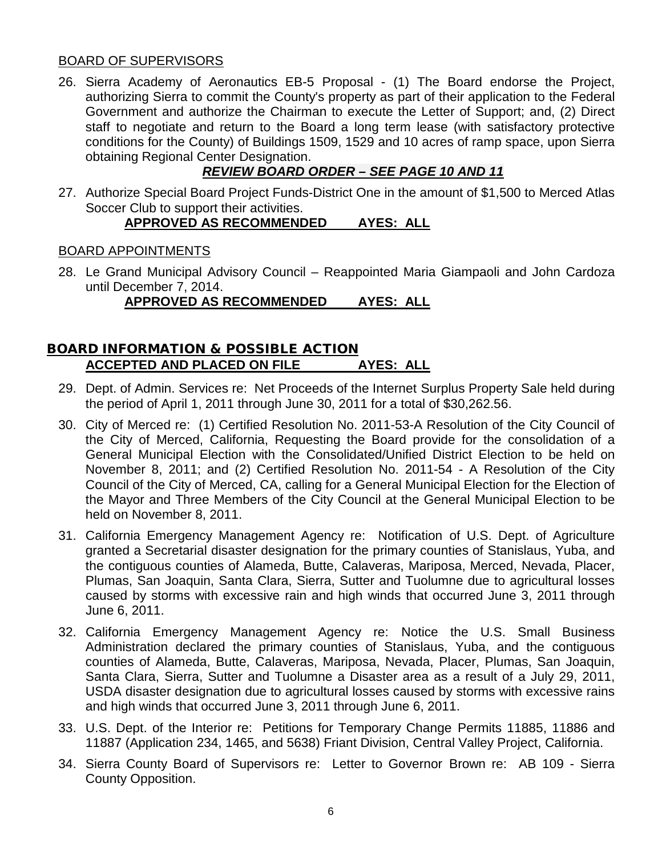#### BOARD OF SUPERVISORS

26. Sierra Academy of Aeronautics EB-5 Proposal - (1) The Board endorse the Project, authorizing Sierra to commit the County's property as part of their application to the Federal Government and authorize the Chairman to execute the Letter of Support; and, (2) Direct staff to negotiate and return to the Board a long term lease (with satisfactory protective conditions for the County) of Buildings 1509, 1529 and 10 acres of ramp space, upon Sierra obtaining Regional Center Designation.

# *REVIEW BOARD ORDER – SEE PAGE 10 AND 11*

27. Authorize Special Board Project Funds-District One in the amount of \$1,500 to Merced Atlas Soccer Club to support their activities.

# **APPROVED AS RECOMMENDED AYES: ALL**

#### BOARD APPOINTMENTS

28. Le Grand Municipal Advisory Council – Reappointed Maria Giampaoli and John Cardoza until December 7, 2014.

### **APPROVED AS RECOMMENDED AYES: ALL**

# BOARD INFORMATION & POSSIBLE ACTION **ACCEPTED AND PLACED ON FILE AYES: ALL**

- 29. Dept. of Admin. Services re: Net Proceeds of the Internet Surplus Property Sale held during the period of April 1, 2011 through June 30, 2011 for a total of \$30,262.56.
- 30. City of Merced re: (1) Certified Resolution No. 2011-53-A Resolution of the City Council of the City of Merced, California, Requesting the Board provide for the consolidation of a General Municipal Election with the Consolidated/Unified District Election to be held on November 8, 2011; and (2) Certified Resolution No. 2011-54 - A Resolution of the City Council of the City of Merced, CA, calling for a General Municipal Election for the Election of the Mayor and Three Members of the City Council at the General Municipal Election to be held on November 8, 2011.
- 31. California Emergency Management Agency re: Notification of U.S. Dept. of Agriculture granted a Secretarial disaster designation for the primary counties of Stanislaus, Yuba, and the contiguous counties of Alameda, Butte, Calaveras, Mariposa, Merced, Nevada, Placer, Plumas, San Joaquin, Santa Clara, Sierra, Sutter and Tuolumne due to agricultural losses caused by storms with excessive rain and high winds that occurred June 3, 2011 through June 6, 2011.
- 32. California Emergency Management Agency re: Notice the U.S. Small Business Administration declared the primary counties of Stanislaus, Yuba, and the contiguous counties of Alameda, Butte, Calaveras, Mariposa, Nevada, Placer, Plumas, San Joaquin, Santa Clara, Sierra, Sutter and Tuolumne a Disaster area as a result of a July 29, 2011, USDA disaster designation due to agricultural losses caused by storms with excessive rains and high winds that occurred June 3, 2011 through June 6, 2011.
- 33. U.S. Dept. of the Interior re: Petitions for Temporary Change Permits 11885, 11886 and 11887 (Application 234, 1465, and 5638) Friant Division, Central Valley Project, California.
- 34. Sierra County Board of Supervisors re: Letter to Governor Brown re: AB 109 Sierra County Opposition.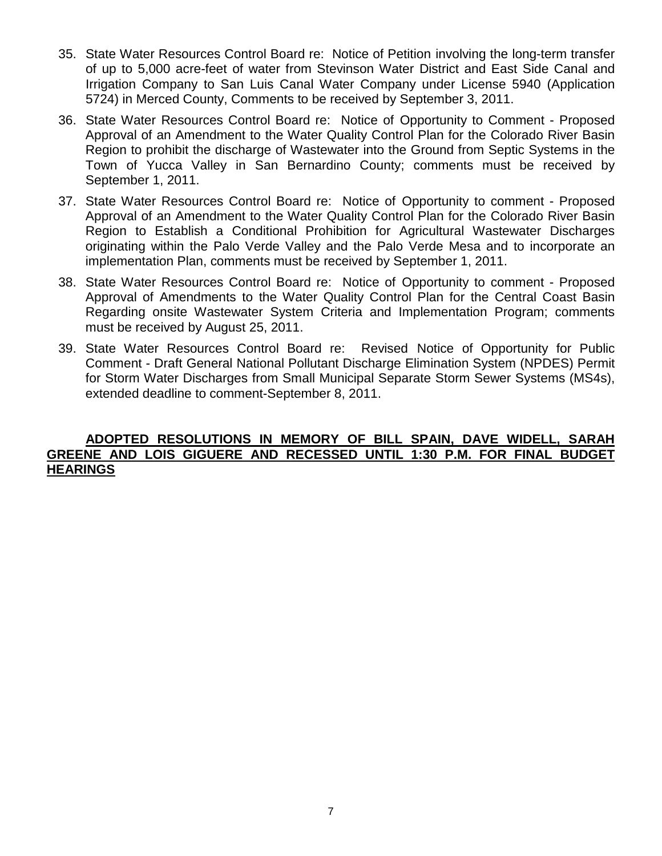- 35. State Water Resources Control Board re: Notice of Petition involving the long-term transfer of up to 5,000 acre-feet of water from Stevinson Water District and East Side Canal and Irrigation Company to San Luis Canal Water Company under License 5940 (Application 5724) in Merced County, Comments to be received by September 3, 2011.
- 36. State Water Resources Control Board re: Notice of Opportunity to Comment Proposed Approval of an Amendment to the Water Quality Control Plan for the Colorado River Basin Region to prohibit the discharge of Wastewater into the Ground from Septic Systems in the Town of Yucca Valley in San Bernardino County; comments must be received by September 1, 2011.
- 37. State Water Resources Control Board re: Notice of Opportunity to comment Proposed Approval of an Amendment to the Water Quality Control Plan for the Colorado River Basin Region to Establish a Conditional Prohibition for Agricultural Wastewater Discharges originating within the Palo Verde Valley and the Palo Verde Mesa and to incorporate an implementation Plan, comments must be received by September 1, 2011.
- 38. State Water Resources Control Board re: Notice of Opportunity to comment Proposed Approval of Amendments to the Water Quality Control Plan for the Central Coast Basin Regarding onsite Wastewater System Criteria and Implementation Program; comments must be received by August 25, 2011.
- 39. State Water Resources Control Board re: Revised Notice of Opportunity for Public Comment - Draft General National Pollutant Discharge Elimination System (NPDES) Permit for Storm Water Discharges from Small Municipal Separate Storm Sewer Systems (MS4s), extended deadline to comment-September 8, 2011.

#### **ADOPTED RESOLUTIONS IN MEMORY OF BILL SPAIN, DAVE WIDELL, SARAH GREENE AND LOIS GIGUERE AND RECESSED UNTIL 1:30 P.M. FOR FINAL BUDGET HEARINGS**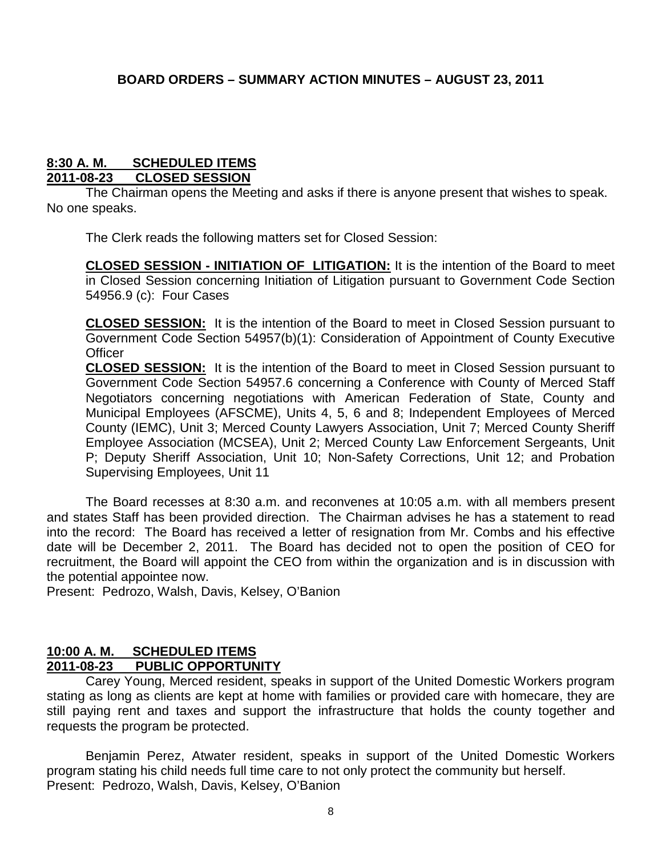#### **8:30 A. M. SCHEDULED ITEMS 2011-08-23 CLOSED SESSION**

The Chairman opens the Meeting and asks if there is anyone present that wishes to speak. No one speaks.

The Clerk reads the following matters set for Closed Session:

**CLOSED SESSION - INITIATION OF LITIGATION:** It is the intention of the Board to meet in Closed Session concerning Initiation of Litigation pursuant to Government Code Section 54956.9 (c): Four Cases

**CLOSED SESSION:** It is the intention of the Board to meet in Closed Session pursuant to Government Code Section 54957(b)(1): Consideration of Appointment of County Executive **Officer** 

**CLOSED SESSION:** It is the intention of the Board to meet in Closed Session pursuant to Government Code Section 54957.6 concerning a Conference with County of Merced Staff Negotiators concerning negotiations with American Federation of State, County and Municipal Employees (AFSCME), Units 4, 5, 6 and 8; Independent Employees of Merced County (IEMC), Unit 3; Merced County Lawyers Association, Unit 7; Merced County Sheriff Employee Association (MCSEA), Unit 2; Merced County Law Enforcement Sergeants, Unit P; Deputy Sheriff Association, Unit 10; Non-Safety Corrections, Unit 12; and Probation Supervising Employees, Unit 11

The Board recesses at 8:30 a.m. and reconvenes at 10:05 a.m. with all members present and states Staff has been provided direction. The Chairman advises he has a statement to read into the record: The Board has received a letter of resignation from Mr. Combs and his effective date will be December 2, 2011. The Board has decided not to open the position of CEO for recruitment, the Board will appoint the CEO from within the organization and is in discussion with the potential appointee now.

Present: Pedrozo, Walsh, Davis, Kelsey, O'Banion

#### **10:00 A. M. SCHEDULED ITEMS 2011-08-23 PUBLIC OPPORTUNITY**

Carey Young, Merced resident, speaks in support of the United Domestic Workers program stating as long as clients are kept at home with families or provided care with homecare, they are still paying rent and taxes and support the infrastructure that holds the county together and requests the program be protected.

Benjamin Perez, Atwater resident, speaks in support of the United Domestic Workers program stating his child needs full time care to not only protect the community but herself. Present: Pedrozo, Walsh, Davis, Kelsey, O'Banion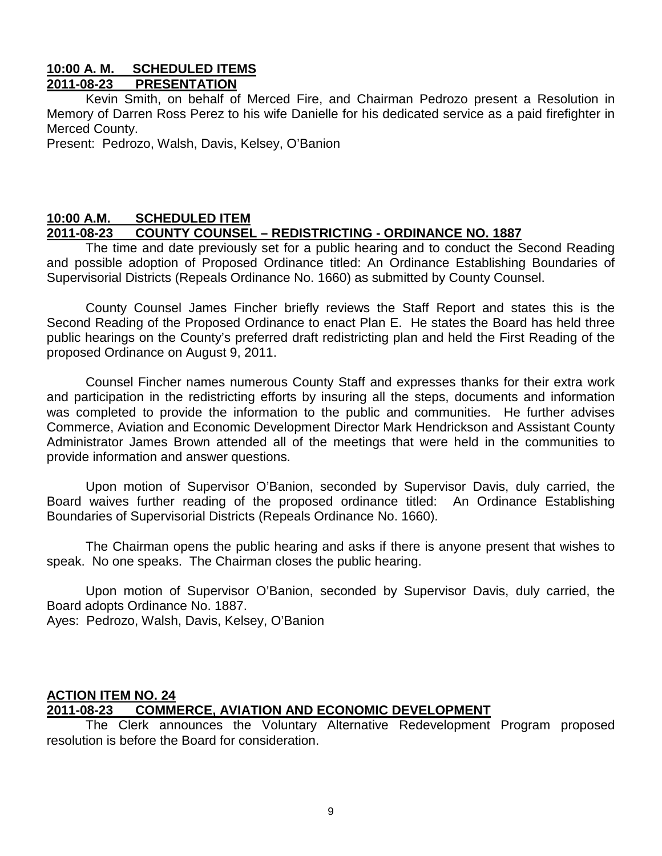#### **10:00 A. M. SCHEDULED ITEMS 2011-08-23 PRESENTATION**

Kevin Smith, on behalf of Merced Fire, and Chairman Pedrozo present a Resolution in Memory of Darren Ross Perez to his wife Danielle for his dedicated service as a paid firefighter in Merced County.

Present: Pedrozo, Walsh, Davis, Kelsey, O'Banion

### **10:00 A.M. SCHEDULED ITEM 2011-08-23 COUNTY COUNSEL – REDISTRICTING - ORDINANCE NO. 1887**

The time and date previously set for a public hearing and to conduct the Second Reading and possible adoption of Proposed Ordinance titled: An Ordinance Establishing Boundaries of Supervisorial Districts (Repeals Ordinance No. 1660) as submitted by County Counsel.

County Counsel James Fincher briefly reviews the Staff Report and states this is the Second Reading of the Proposed Ordinance to enact Plan E. He states the Board has held three public hearings on the County's preferred draft redistricting plan and held the First Reading of the proposed Ordinance on August 9, 2011.

Counsel Fincher names numerous County Staff and expresses thanks for their extra work and participation in the redistricting efforts by insuring all the steps, documents and information was completed to provide the information to the public and communities. He further advises Commerce, Aviation and Economic Development Director Mark Hendrickson and Assistant County Administrator James Brown attended all of the meetings that were held in the communities to provide information and answer questions.

Upon motion of Supervisor O'Banion, seconded by Supervisor Davis, duly carried, the Board waives further reading of the proposed ordinance titled: An Ordinance Establishing Boundaries of Supervisorial Districts (Repeals Ordinance No. 1660).

The Chairman opens the public hearing and asks if there is anyone present that wishes to speak. No one speaks. The Chairman closes the public hearing.

Upon motion of Supervisor O'Banion, seconded by Supervisor Davis, duly carried, the Board adopts Ordinance No. 1887.

Ayes: Pedrozo, Walsh, Davis, Kelsey, O'Banion

#### **ACTION ITEM NO. 24 2011-08-23 COMMERCE, AVIATION AND ECONOMIC DEVELOPMENT**

The Clerk announces the Voluntary Alternative Redevelopment Program proposed resolution is before the Board for consideration.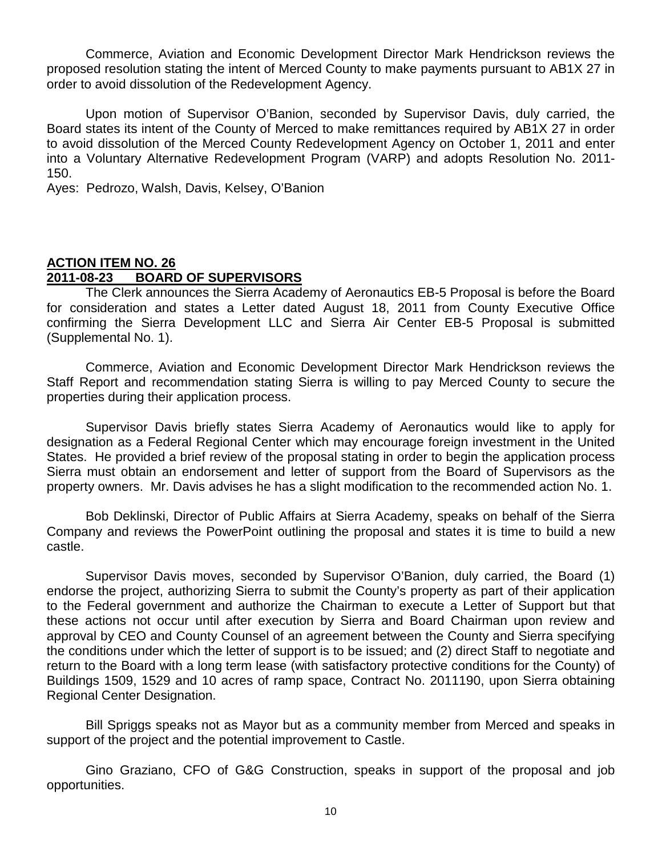Commerce, Aviation and Economic Development Director Mark Hendrickson reviews the proposed resolution stating the intent of Merced County to make payments pursuant to AB1X 27 in order to avoid dissolution of the Redevelopment Agency.

Upon motion of Supervisor O'Banion, seconded by Supervisor Davis, duly carried, the Board states its intent of the County of Merced to make remittances required by AB1X 27 in order to avoid dissolution of the Merced County Redevelopment Agency on October 1, 2011 and enter into a Voluntary Alternative Redevelopment Program (VARP) and adopts Resolution No. 2011- 150.

Ayes: Pedrozo, Walsh, Davis, Kelsey, O'Banion

# **ACTION ITEM NO. 26 2011-08-23 BOARD OF SUPERVISORS**

The Clerk announces the Sierra Academy of Aeronautics EB-5 Proposal is before the Board for consideration and states a Letter dated August 18, 2011 from County Executive Office confirming the Sierra Development LLC and Sierra Air Center EB-5 Proposal is submitted (Supplemental No. 1).

Commerce, Aviation and Economic Development Director Mark Hendrickson reviews the Staff Report and recommendation stating Sierra is willing to pay Merced County to secure the properties during their application process.

Supervisor Davis briefly states Sierra Academy of Aeronautics would like to apply for designation as a Federal Regional Center which may encourage foreign investment in the United States. He provided a brief review of the proposal stating in order to begin the application process Sierra must obtain an endorsement and letter of support from the Board of Supervisors as the property owners. Mr. Davis advises he has a slight modification to the recommended action No. 1.

Bob Deklinski, Director of Public Affairs at Sierra Academy, speaks on behalf of the Sierra Company and reviews the PowerPoint outlining the proposal and states it is time to build a new castle.

Supervisor Davis moves, seconded by Supervisor O'Banion, duly carried, the Board (1) endorse the project, authorizing Sierra to submit the County's property as part of their application to the Federal government and authorize the Chairman to execute a Letter of Support but that these actions not occur until after execution by Sierra and Board Chairman upon review and approval by CEO and County Counsel of an agreement between the County and Sierra specifying the conditions under which the letter of support is to be issued; and (2) direct Staff to negotiate and return to the Board with a long term lease (with satisfactory protective conditions for the County) of Buildings 1509, 1529 and 10 acres of ramp space, Contract No. 2011190, upon Sierra obtaining Regional Center Designation.

Bill Spriggs speaks not as Mayor but as a community member from Merced and speaks in support of the project and the potential improvement to Castle.

Gino Graziano, CFO of G&G Construction, speaks in support of the proposal and job opportunities.